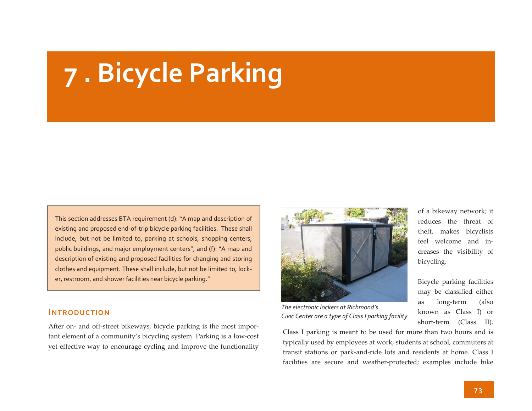# **<sup>7</sup> . Bicycle Parking**

This section addresses BTA requirement (d): "A map and description of existing and proposed end-of-trip bicycle parking facilities. These shall include, but not be limited to, parking at schools, shopping centers, public buildings, and major employment centers", and (f): "A map and description of existing and proposed facilities for changing and storing clothes and equipment. These shall include, but not be limited to, lock‐ er, restroom, and shower facilities near bicycle parking."

### **INTRODUCTION**

After on‐ and off‐street bikeways, bicycle parking is the most impor‐ tant element of a community's bicycling system. Parking is <sup>a</sup> low‐cost ye<sup>t</sup> effective way to encourage cycling and improve the functionality



*The electronic lockers at Richmond's Civic Center are a type of Class <sup>I</sup> parking facility*

of a bikeway network; it reduces the threat of theft, makes bicyclists feel welcome and in‐ creases the visibility of bicycling.

Bicycle parking facilities may be classified either as long‐term (also known as Class I) or short‐term (Class II).

Class I parking is meant to be used for more than two hours and is typically used by employees at work, students at school, commuters at transit stations or park‐and‐ride lots and residents at home. Class I facilities are secure and weather‐protected; examples include bike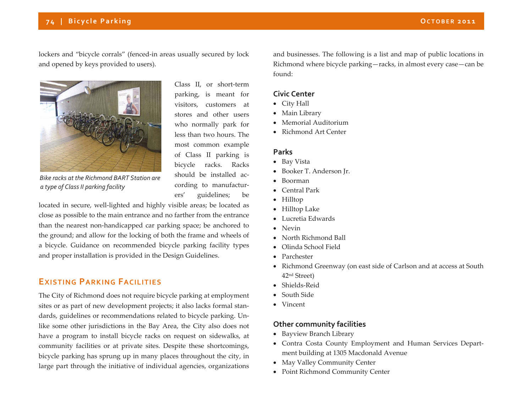## **<sup>7</sup> <sup>4</sup> | Bicycle Parking OCTOBER <sup>2011</sup>**

lockers and "bicycle corrals" (fenced‐in areas usually secured by lock and opened by keys provided to users).



Class II, or short‐term parking, is meant for visitors, customers at stores and other users who normally park for less than two hours. The most common example of Class II parking is bicycle racks. Racks should be installed ac‐ cording to manufactur‐ ers' guidelines; be

*Bike racks at the Richmond BART Station are a type of Class II parking facility*

located in secure, well‐lighted and highly visible areas; be located as close as possible to the main entrance and no farther from the entrance than the nearest non‐handicapped car parking space; be anchored to the ground; and allow for the locking of both the frame and wheels of a bicycle. Guidance on recommended bicycle parking facility types and proper installation is provided in the Design Guidelines.

## **EXISTING PARKING FACILITIES**

The City of Richmond does not require bicycle parking at employment sites or as par<sup>t</sup> of new development projects; it also lacks formal stan‐ dards, guidelines or recommendations related to bicycle parking. Un‐ like some other jurisdictions in the Bay Area, the City also does not have a program to install bicycle racks on reques<sup>t</sup> on sidewalks, at community facilities or at private sites. Despite these shortcomings, bicycle parking has sprung up in many places throughout the city, in large par<sup>t</sup> through the initiative of individual agencies, organizations

and businesses. The following is <sup>a</sup> list and map of public locations in Richmond where bicycle parking—racks, in almost every case—can be found:

#### **Civic Center**

- City Hall
- Main Library
- Memorial Auditorium
- Richmond Art Center

#### **Parks**

- Bay Vista
- Booker T. Anderson Jr.
- Boorman
- Central Park
- Hilltop
- Hilltop Lake
- Lucretia Edwards
- Nevin
- North Richmond Ball
- $\bullet$ Olinda School Field
- Parchester
- Richmond Greenway (on east side of Carlson and at access at South 42nd Street)
- Shields‐Reid
- South Side
- Vincent

#### **Other community facilities**

- Bayview Branch Library
- Contra Costa County Employment and Human Services Depart‐ ment building at 1305 Macdonald Avenue
- May Valley Community Center
- Point Richmond Community Center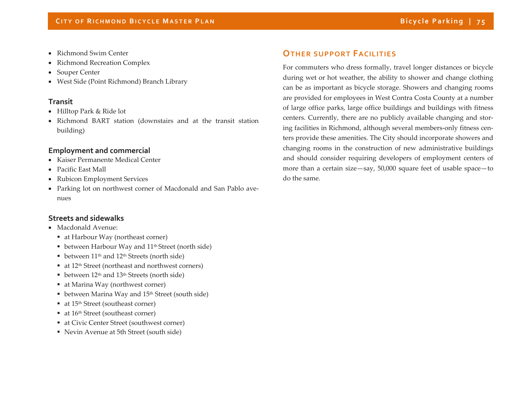- Richmond Swim Center
- 0 Richmond Recreation Complex
- e Souper Center
- West Side (Point Richmond) Branch Library

### **Transit**

- Hilltop Park & Ride lot
- Richmond BART station (downstairs and at the transit station building)

### **Employment and commercial**

- Kaiser Permanente Medical Center
- Pacific East Mall
- Rubicon Employment Services
- Parking lot on northwest corner of Macdonald and San Pablo avenues

### **Streets and sidewalks**

- Macdonald Avenue:
	- at Harbour Way (northeast corner)
	- between Harbour Way and 11<sup>th</sup> Street (north side)
	- between  $11<sup>th</sup>$  and  $12<sup>th</sup>$  Streets (north side)
	- at 12<sup>th</sup> Street (northeast and northwest corners)
	- between  $12^{\text{th}}$  and  $13^{\text{th}}$  Streets (north side)
	- at Marina Way (northwest corner)
	- between Marina Way and 15<sup>th</sup> Street (south side)
	- at 15<sup>th</sup> Street (southeast corner)
	- at 16<sup>th</sup> Street (southeast corner)
	- at Civic Center Street (southwest corner)
	- Nevin Avenue at 5th Street (south side)

## **OTHER SUPPORT FACILITIES**

For commuters who dress formally, travel longer distances or bicycle during wet or hot weather, the ability to shower and change clothing can be as important as bicycle storage. Showers and changing rooms are provided for employees in West Contra Costa County at <sup>a</sup> number of large office parks, large office buildings and buildings with fitness centers. Currently, there are no publicly available changing and storing facilities in Richmond, although several members-only fitness centers provide these amenities. The City should incorporate showers and changing rooms in the construction of new administrative buildings and should consider requiring developers of employment centers of more than <sup>a</sup> certain size—say, 50,000 square feet of usable space—to do the same.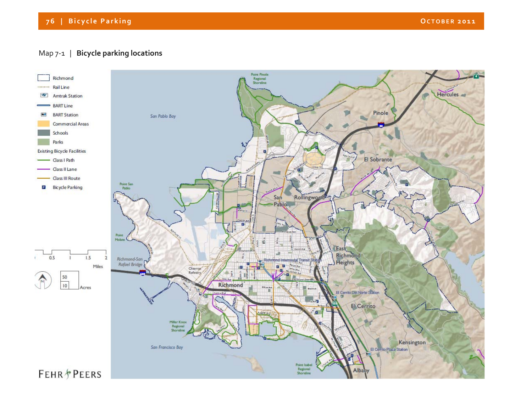## **<sup>7</sup> 6 | Bicycle Parking OCTOBER <sup>2011</sup>**

## Map <sup>7</sup>‐<sup>1</sup> | **Bicycle parking locations**

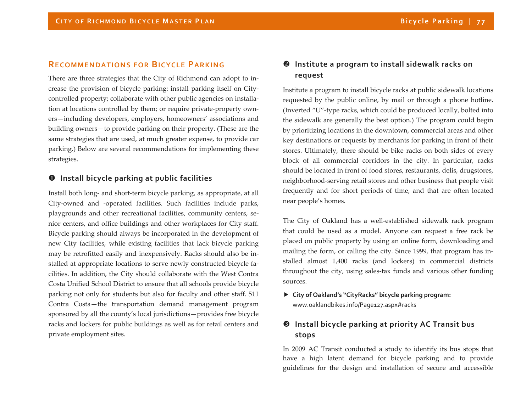## **RECOMMENDATIONS FOR BICYCLE PARKING**

There are three strategies that the City of Richmond can adopt to in‐ crease the provision of bicycle parking: install parking itself on City‐ controlled property; collaborate with other public agencies on installa‐ tion at locations controlled by them; or require private‐property own‐ ers—including developers, employers, homeowners' associations and building owners—to provide parking on their property. (These are the same strategies that are used, at much greater expense, to provide car parking.) Below are several recommendations for implementing these strategies.

## **Install bicycle parking at public facilities**

Install both long‐ and short‐term bicycle parking, as appropriate, at all City-owned and -operated facilities. Such facilities include parks, playgrounds and other recreational facilities, community centers, senior centers, and office buildings and other workplaces for City staff. Bicycle parking should always be incorporated in the development of new City facilities, while existing facilities that lack bicycle parking may be retrofitted easily and inexpensively. Racks should also be in‐ stalled at appropriate locations to serve newly constructed bicycle fa‐ cilities. In addition, the City should collaborate with the West Contra Costa Unified School District to ensure that all schools provide bicycle parking not only for students but also for faculty and other staff. 511 Contra Costa—the transportation demand managemen<sup>t</sup> program sponsored by all the county's local jurisdictions—provides free bicycle racks and lockers for public buildings as well as for retail centers and private employment sites.

## **Institute <sup>a</sup> program to install sidewalk racks on request**

Institute a program to install bicycle racks at public sidewalk locations requested by the public online, by mail or through <sup>a</sup> phone hotline. (Inverted "U"‐type racks, which could be produced locally, bolted into the sidewalk are generally the best option.) The program could begin by prioritizing locations in the downtown, commercial areas and other key destinations or requests by merchants for parking in front of their stores. Ultimately, there should be bike racks on both sides of every block of all commercial corridors in the city. In particular, racks should be located in front of food stores, restaurants, delis, drugstores, neighborhood‐serving retail stores and other business that people visit frequently and for short periods of time, and that are often located near people's homes.

The City of Oakland has <sup>a</sup> well‐established sidewalk rack program that could be used as <sup>a</sup> model. Anyone can reques<sup>t</sup> <sup>a</sup> free rack be placed on public property by using an online form, downloading and mailing the form, or calling the city. Since 1999, that program has in‐ stalled almost 1,400 racks (and lockers) in commercial districts throughout the city, using sales‐tax funds and various other funding sources.

## **City of Oakland's "CityRacks" bicycle parking program:** www.oaklandbikes.info/Page127.aspx#racks

# **Install bicycle parking at priority AC Transit bus stops**

In 2009 AC Transit conducted <sup>a</sup> study to identify its bus stops that have a high latent demand for bicycle parking and to provide guidelines for the design and installation of secure and accessible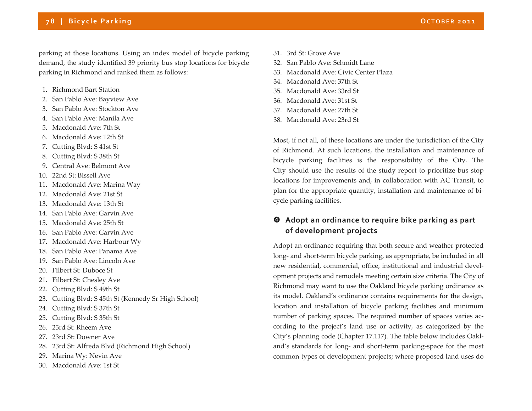## **<sup>7</sup> 8 | Bicycle Parking OCTOBER <sup>2011</sup>**

parking at those locations. Using an index model of bicycle parking demand, the study identified 39 priority bus stop locations for bicycle parking in Richmond and ranked them as follows:

- 1. Richmond Bart Station
- 2. San Pablo Ave: Bayview Ave
- 3. San Pablo Ave: Stockton Ave
- 4. San Pablo Ave: Manila Ave
- 5. Macdonald Ave: 7th St
- 6. Macdonald Ave: 12th St
- 7. Cutting Blvd: S 41st St
- 8. Cutting Blvd: S 38th St
- 9. Central Ave: Belmont Ave
- 10. 22nd St: Bissell Ave
- 11. Macdonald Ave: Marina Way
- 12. Macdonald Ave: 21st St
- 13. Macdonald Ave: 13th St
- 14. San Pablo Ave: Garvin Ave
- 15. Macdonald Ave: 25th St
- 16. San Pablo Ave: Garvin Ave
- 17. Macdonald Ave: Harbour Wy
- 18. San Pablo Ave: Panama Ave
- 19. San Pablo Ave: Lincoln Ave
- 20. Filbert St: Duboce St
- 21. Filbert St: Chesley Ave
- 22. Cutting Blvd: S 49th St
- 23. Cutting Blvd: S 45th St (Kennedy Sr High School)
- 24.Cutting Blvd: S 37th St
- 25.Cutting Blvd: S 35th St
- 26. 23rd St: Rheem Ave
- 27. 23rd St: Downer Ave
- 28. 23rd St: Alfreda Blvd (Richmond High School)
- 29. Marina Wy: Nevin Ave
- 30. Macdonald Ave: 1st St
- 31. 3rd St: Grove Ave
- 32.San Pablo Ave: Schmidt Lane
- 33. Macdonald Ave: Civic Center Plaza
- 34. Macdonald Ave: 37th St
- 35. Macdonald Ave: 33rd St
- 36. Macdonald Ave: 31st St
- 37. Macdonald Ave: 27th St
- 38. Macdonald Ave: 23rd St

Most, if not all, of these locations are under the jurisdiction of the City of Richmond. At such locations, the installation and maintenance of bicycle parking facilities is the responsibility of the City. The City should use the results of the study repor<sup>t</sup> to prioritize bus stop locations for improvements and, in collaboration with AC Transit, to plan for the appropriate quantity, installation and maintenance of bicycle parking facilities.

## **Adopt an ordinance to require bike parking as par<sup>t</sup> of development projects**

Adopt an ordinance requiring that both secure and weather protected long‐ and short‐term bicycle parking, as appropriate, be included in all new residential, commercial, office, institutional and industrial devel‐ opmen<sup>t</sup> projects and remodels meeting certain size criteria. The City of Richmond may want to use the Oakland bicycle parking ordinance as its model. Oakland's ordinance contains requirements for the design, location and installation of bicycle parking facilities and minimum number of parking spaces. The required number of spaces varies ac‐ cording to the project's land use or activity, as categorized by the City's planning code (Chapter 17.117). The table below includes Oakl‐ and's standards for long‐ and short‐term parking‐space for the most common types of development projects; where proposed land uses do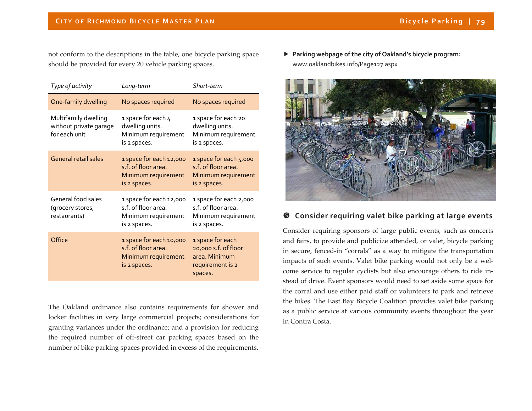not conform to the descriptions in the table, one bicycle parking space should be provided for every 20 vehicle parking spaces.

| Type of activity                                                | Long-term                                                                             | Short-term                                                                               |
|-----------------------------------------------------------------|---------------------------------------------------------------------------------------|------------------------------------------------------------------------------------------|
| One-family dwelling                                             | No spaces required                                                                    | No spaces required                                                                       |
| Multifamily dwelling<br>without private garage<br>for each unit | 1 space for each 4<br>dwelling units.<br>Minimum requirement<br>is 2 spaces.          | 1 space for each 20<br>dwelling units.<br>Minimum requirement<br>is 2 spaces.            |
| <b>General retail sales</b>                                     | 1 space for each 12,000<br>s.f. of floor area.<br>Minimum requirement<br>is 2 spaces. | 1 space for each 5,000<br>s.f. of floor area.<br>Minimum requirement<br>is 2 spaces.     |
| General food sales<br>(grocery stores,<br>restaurants)          | 1 space for each 12,000<br>s.f. of floor area.<br>Minimum requirement<br>is 2 spaces. | 1 space for each 2,000<br>s.f. of floor area.<br>Minimum requirement<br>is 2 spaces.     |
| Office                                                          | 1 space for each 10,000<br>s.f. of floor area.<br>Minimum requirement<br>is 2 spaces. | 1 space for each<br>20,000 s.f. of floor<br>area. Minimum<br>requirement is 2<br>spaces. |

The Oakland ordinance also contains requirements for shower and locker facilities in very large commercial projects; considerations for granting variances under the ordinance; and <sup>a</sup> provision for reducing the required number of off‐street car parking spaces based on the number of bike parking spaces provided in excess of the requirements.

 **Parking webpage of the city of Oakland's bicycle program:** www.oaklandbikes.info/Page127.aspx



#### **Consider requiring valet bike parking at large events**

Consider requiring sponsors of large public events, such as concerts and fairs, to provide and publicize attended, or valet, bicycle parking in secure, fenced‐in "corrals" as <sup>a</sup> way to mitigate the transportation impacts of such events. Valet bike parking would not only be a welcome service to regular cyclists but also encourage others to ride in‐ stead of drive. Event sponsors would need to set aside some space for the corral and use either paid staff or volunteers to park and retrieve the bikes. The East Bay Bicycle Coalition provides valet bike parking as a public service at various community events throughout the year in Contra Costa.